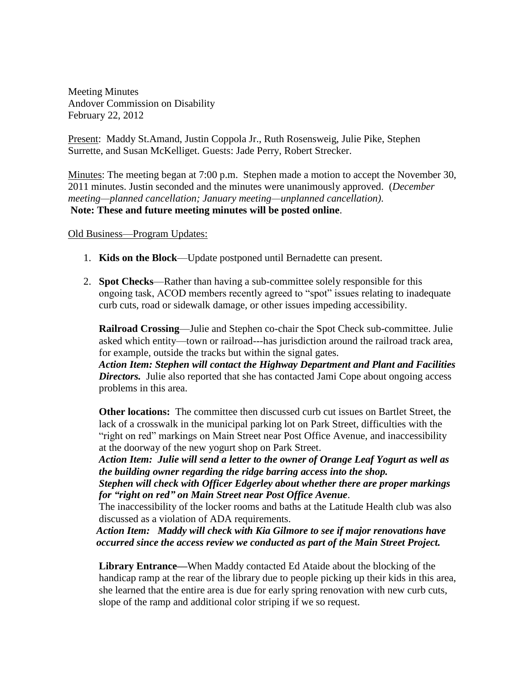Meeting Minutes Andover Commission on Disability February 22, 2012

Present: Maddy St.Amand, Justin Coppola Jr., Ruth Rosensweig, Julie Pike, Stephen Surrette, and Susan McKelliget. Guests: Jade Perry, Robert Strecker.

Minutes: The meeting began at 7:00 p.m. Stephen made a motion to accept the November 30, 2011 minutes. Justin seconded and the minutes were unanimously approved. (*December meeting—planned cancellation; January meeting—unplanned cancellation)*. **Note: These and future meeting minutes will be posted online**.

## Old Business—Program Updates:

- 1. **Kids on the Block**—Update postponed until Bernadette can present.
- 2. **Spot Checks**—Rather than having a sub-committee solely responsible for this ongoing task, ACOD members recently agreed to "spot" issues relating to inadequate curb cuts, road or sidewalk damage, or other issues impeding accessibility.

**Railroad Crossing**—Julie and Stephen co-chair the Spot Check sub-committee. Julie asked which entity—town or railroad---has jurisdiction around the railroad track area, for example, outside the tracks but within the signal gates.

*Action Item: Stephen will contact the Highway Department and Plant and Facilities*  **Directors.** Julie also reported that she has contacted Jami Cope about ongoing access problems in this area.

**Other locations:** The committee then discussed curb cut issues on Bartlet Street, the lack of a crosswalk in the municipal parking lot on Park Street, difficulties with the "right on red" markings on Main Street near Post Office Avenue, and inaccessibility at the doorway of the new yogurt shop on Park Street.

*Action Item: Julie will send a letter to the owner of Orange Leaf Yogurt as well as the building owner regarding the ridge barring access into the shop.*

*Stephen will check with Officer Edgerley about whether there are proper markings for "right on red" on Main Street near Post Office Avenue*.

The inaccessibility of the locker rooms and baths at the Latitude Health club was also discussed as a violation of ADA requirements.

 *Action Item: Maddy will check with Kia Gilmore to see if major renovations have occurred since the access review we conducted as part of the Main Street Project.*

**Library Entrance—**When Maddy contacted Ed Ataide about the blocking of the handicap ramp at the rear of the library due to people picking up their kids in this area, she learned that the entire area is due for early spring renovation with new curb cuts, slope of the ramp and additional color striping if we so request.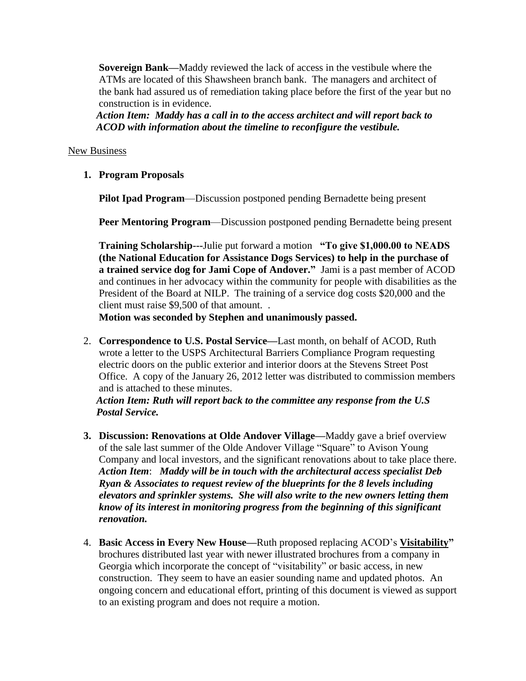**Sovereign Bank—**Maddy reviewed the lack of access in the vestibule where the ATMs are located of this Shawsheen branch bank. The managers and architect of the bank had assured us of remediation taking place before the first of the year but no construction is in evidence.

 *Action Item: Maddy has a call in to the access architect and will report back to ACOD with information about the timeline to reconfigure the vestibule.*

## New Business

**1. Program Proposals**

**Pilot Ipad Program**—Discussion postponed pending Bernadette being present

**Peer Mentoring Program**—Discussion postponed pending Bernadette being present

**Training Scholarship---**Julie put forward a motion **"To give \$1,000.00 to NEADS (the National Education for Assistance Dogs Services) to help in the purchase of a trained service dog for Jami Cope of Andover."** Jami is a past member of ACOD and continues in her advocacy within the community for people with disabilities as the President of the Board at NILP. The training of a service dog costs \$20,000 and the client must raise \$9,500 of that amount. .

 **Motion was seconded by Stephen and unanimously passed.**

2. **Correspondence to U.S. Postal Service—**Last month, on behalf of ACOD, Ruth wrote a letter to the USPS Architectural Barriers Compliance Program requesting electric doors on the public exterior and interior doors at the Stevens Street Post Office. A copy of the January 26, 2012 letter was distributed to commission members and is attached to these minutes.

 *Action Item: Ruth will report back to the committee any response from the U.S Postal Service.*

- **3. Discussion: Renovations at Olde Andover Village—**Maddy gave a brief overview of the sale last summer of the Olde Andover Village "Square" to Avison Young Company and local investors, and the significant renovations about to take place there. *Action Item*: *Maddy will be in touch with the architectural access specialist Deb Ryan & Associates to request review of the blueprints for the 8 levels including elevators and sprinkler systems. She will also write to the new owners letting them know of its interest in monitoring progress from the beginning of this significant renovation.*
- 4. **Basic Access in Every New House—**Ruth proposed replacing ACOD's **Visitability"** brochures distributed last year with newer illustrated brochures from a company in Georgia which incorporate the concept of "visitability" or basic access, in new construction. They seem to have an easier sounding name and updated photos. An ongoing concern and educational effort, printing of this document is viewed as support to an existing program and does not require a motion.